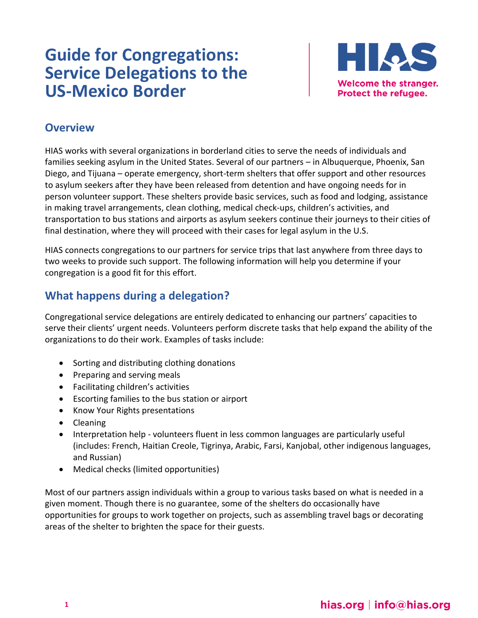# **Guide for Congregations: Service Delegations to the US-Mexico Border**



#### **Overview**

HIAS works with several organizations in borderland cities to serve the needs of individuals and families seeking asylum in the United States. Several of our partners – in Albuquerque, Phoenix, San Diego, and Tijuana – operate emergency, short-term shelters that offer support and other resources to asylum seekers after they have been released from detention and have ongoing needs for in person volunteer support. These shelters provide basic services, such as food and lodging, assistance in making travel arrangements, clean clothing, medical check-ups, children's activities, and transportation to bus stations and airports as asylum seekers continue their journeys to their cities of final destination, where they will proceed with their cases for legal asylum in the U.S.

HIAS connects congregations to our partners for service trips that last anywhere from three days to two weeks to provide such support. The following information will help you determine if your congregation is a good fit for this effort.

## **What happens during a delegation?**

Congregational service delegations are entirely dedicated to enhancing our partners' capacities to serve their clients' urgent needs. Volunteers perform discrete tasks that help expand the ability of the organizations to do their work. Examples of tasks include:

- Sorting and distributing clothing donations
- Preparing and serving meals
- Facilitating children's activities
- Escorting families to the bus station or airport
- Know Your Rights presentations
- Cleaning
- Interpretation help volunteers fluent in less common languages are particularly useful (includes: French, Haitian Creole, Tigrinya, Arabic, Farsi, Kanjobal, other indigenous languages, and Russian)
- Medical checks (limited opportunities)

Most of our partners assign individuals within a group to various tasks based on what is needed in a given moment. Though there is no guarantee, some of the shelters do occasionally have opportunities for groups to work together on projects, such as assembling travel bags or decorating areas of the shelter to brighten the space for their guests.